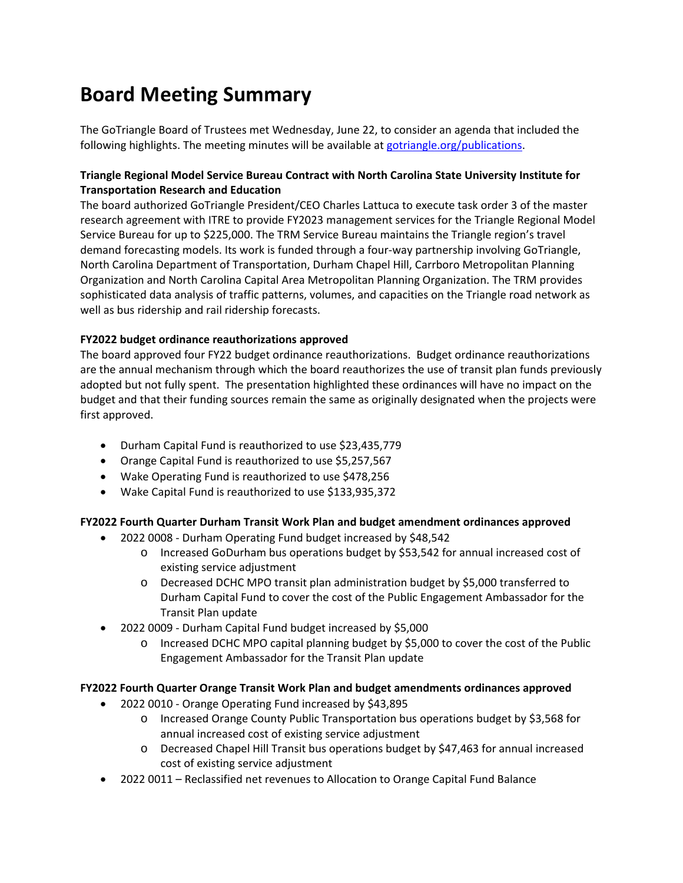# **Board Meeting Summary**

The GoTriangle Board of Trustees met Wednesday, June 22, to consider an agenda that included the following highlights. The meeting minutes will be available at [gotriangle.org/publications.](https://gotriangle.org/publications)

## **Triangle Regional Model Service Bureau Contract with North Carolina State University Institute for Transportation Research and Education**

The board authorized GoTriangle President/CEO Charles Lattuca to execute task order 3 of the master research agreement with ITRE to provide FY2023 management services for the Triangle Regional Model Service Bureau for up to \$225,000. The TRM Service Bureau maintains the Triangle region's travel demand forecasting models. Its work is funded through a four-way partnership involving GoTriangle, North Carolina Department of Transportation, Durham Chapel Hill, Carrboro Metropolitan Planning Organization and North Carolina Capital Area Metropolitan Planning Organization. The TRM provides sophisticated data analysis of traffic patterns, volumes, and capacities on the Triangle road network as well as bus ridership and rail ridership forecasts.

## **FY2022 budget ordinance reauthorizations approved**

The board approved four FY22 budget ordinance reauthorizations. Budget ordinance reauthorizations are the annual mechanism through which the board reauthorizes the use of transit plan funds previously adopted but not fully spent. The presentation highlighted these ordinances will have no impact on the budget and that their funding sources remain the same as originally designated when the projects were first approved.

- Durham Capital Fund is reauthorized to use \$23,435,779
- Orange Capital Fund is reauthorized to use \$5,257,567
- Wake Operating Fund is reauthorized to use \$478,256
- Wake Capital Fund is reauthorized to use \$133,935,372

## **FY2022 Fourth Quarter Durham Transit Work Plan and budget amendment ordinances approved**

- 2022 0008 Durham Operating Fund budget increased by \$48,542
	- o Increased GoDurham bus operations budget by \$53,542 for annual increased cost of existing service adjustment
	- o Decreased DCHC MPO transit plan administration budget by \$5,000 transferred to Durham Capital Fund to cover the cost of the Public Engagement Ambassador for the Transit Plan update
- 2022 0009 Durham Capital Fund budget increased by \$5,000
	- o Increased DCHC MPO capital planning budget by \$5,000 to cover the cost of the Public Engagement Ambassador for the Transit Plan update

## **FY2022 Fourth Quarter Orange Transit Work Plan and budget amendments ordinances approved**

- 2022 0010 Orange Operating Fund increased by \$43,895
	- o Increased Orange County Public Transportation bus operations budget by \$3,568 for annual increased cost of existing service adjustment
	- o Decreased Chapel Hill Transit bus operations budget by \$47,463 for annual increased cost of existing service adjustment
- 2022 0011 Reclassified net revenues to Allocation to Orange Capital Fund Balance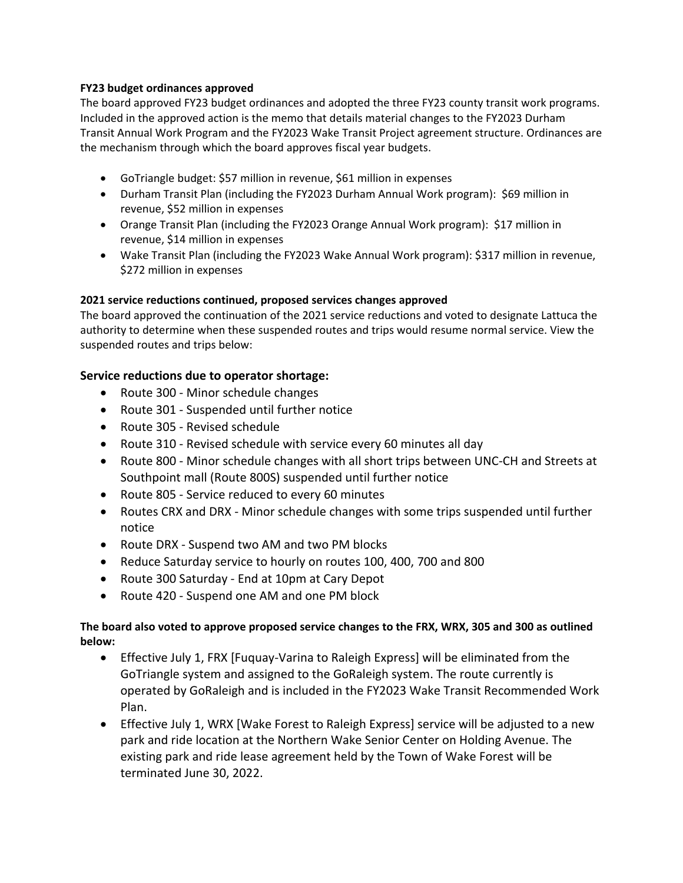#### **FY23 budget ordinances approved**

The board approved FY23 budget ordinances and adopted the three FY23 county transit work programs. Included in the approved action is the memo that details material changes to the FY2023 Durham Transit Annual Work Program and the FY2023 Wake Transit Project agreement structure. Ordinances are the mechanism through which the board approves fiscal year budgets.

- GoTriangle budget: \$57 million in revenue, \$61 million in expenses
- Durham Transit Plan (including the FY2023 Durham Annual Work program): \$69 million in revenue, \$52 million in expenses
- Orange Transit Plan (including the FY2023 Orange Annual Work program): \$17 million in revenue, \$14 million in expenses
- Wake Transit Plan (including the FY2023 Wake Annual Work program): \$317 million in revenue, \$272 million in expenses

#### **2021 service reductions continued, proposed services changes approved**

The board approved the continuation of the 2021 service reductions and voted to designate Lattuca the authority to determine when these suspended routes and trips would resume normal service. View the suspended routes and trips below:

## **Service reductions due to operator shortage:**

- Route 300 Minor schedule changes
- Route 301 Suspended until further notice
- Route 305 Revised schedule
- Route 310 Revised schedule with service every 60 minutes all day
- Route 800 Minor schedule changes with all short trips between UNC-CH and Streets at Southpoint mall (Route 800S) suspended until further notice
- Route 805 Service reduced to every 60 minutes
- Routes CRX and DRX Minor schedule changes with some trips suspended until further notice
- Route DRX Suspend two AM and two PM blocks
- Reduce Saturday service to hourly on routes 100, 400, 700 and 800
- Route 300 Saturday End at 10pm at Cary Depot
- Route 420 Suspend one AM and one PM block

## **The board also voted to approve proposed service changes to the FRX, WRX, 305 and 300 as outlined below:**

- Effective July 1, FRX [Fuquay-Varina to Raleigh Express] will be eliminated from the GoTriangle system and assigned to the GoRaleigh system. The route currently is operated by GoRaleigh and is included in the FY2023 Wake Transit Recommended Work Plan.
- Effective July 1, WRX [Wake Forest to Raleigh Express] service will be adjusted to a new park and ride location at the Northern Wake Senior Center on Holding Avenue. The existing park and ride lease agreement held by the Town of Wake Forest will be terminated June 30, 2022.